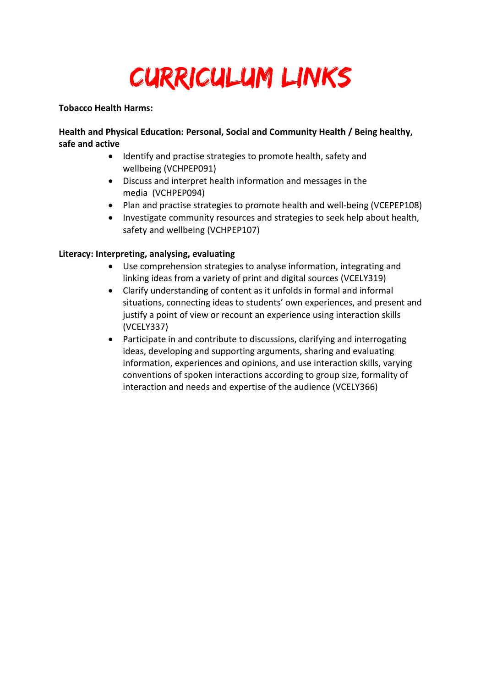# Curriculum Links

#### **Tobacco Health Harms:**

**Health and Physical Education: Personal, Social and Community Health / Being healthy, safe and active**

- Identify and practise strategies to promote health, safety and wellbeing (VCHPEP091)
- Discuss and interpret health information and messages in the media (VCHPEP094)
- Plan and practise strategies to promote health and well-being (VCEPEP108)
- Investigate community resources and strategies to seek help about health, safety and wellbeing (VCHPEP107)

# **Literacy: Interpreting, analysing, evaluating**

- Use comprehension strategies to analyse information, integrating and linking ideas from a variety of print and digital sources (VCELY319)
- Clarify understanding of content as it unfolds in formal and informal situations, connecting ideas to students' own experiences, and present and justify a point of view or recount an experience using interaction skills (VCELY337)
- Participate in and contribute to discussions, clarifying and interrogating ideas, developing and supporting arguments, sharing and evaluating information, experiences and opinions, and use interaction skills, varying conventions of spoken interactions according to group size, formality of interaction and needs and expertise of the audience (VCELY366)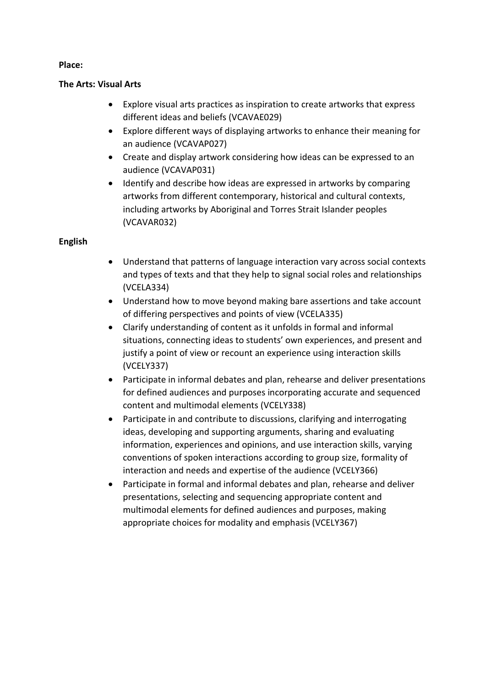### **Place:**

### **The Arts: Visual Arts**

- Explore visual arts practices as inspiration to create artworks that express different ideas and beliefs (VCAVAE029)
- Explore different ways of displaying artworks to enhance their meaning for an audience (VCAVAP027)
- Create and display artwork considering how ideas can be expressed to an audience (VCAVAP031)
- Identify and describe how ideas are expressed in artworks by comparing artworks from different contemporary, historical and cultural contexts, including artworks by Aboriginal and Torres Strait Islander peoples (VCAVAR032)

# **English**

- Understand that patterns of language interaction vary across social contexts and types of texts and that they help to signal social roles and relationships (VCELA334)
- Understand how to move beyond making bare assertions and take account of differing perspectives and points of view (VCELA335)
- Clarify understanding of content as it unfolds in formal and informal situations, connecting ideas to students' own experiences, and present and justify a point of view or recount an experience using interaction skills (VCELY337)
- Participate in informal debates and plan, rehearse and deliver presentations for defined audiences and purposes incorporating accurate and sequenced content and multimodal elements (VCELY338)
- Participate in and contribute to discussions, clarifying and interrogating ideas, developing and supporting arguments, sharing and evaluating information, experiences and opinions, and use interaction skills, varying conventions of spoken interactions according to group size, formality of interaction and needs and expertise of the audience (VCELY366)
- Participate in formal and informal debates and plan, rehearse and deliver presentations, selecting and sequencing appropriate content and multimodal elements for defined audiences and purposes, making appropriate choices for modality and emphasis (VCELY367)